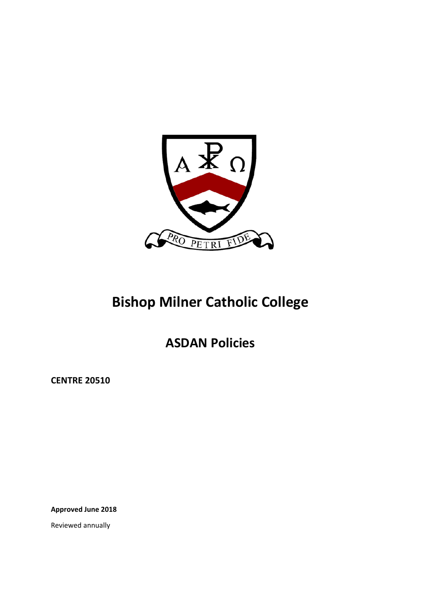

# **Bishop Milner Catholic College**

**ASDAN Policies** 

**CENTRE 20510** 

**Approved June 2018** 

Reviewed annually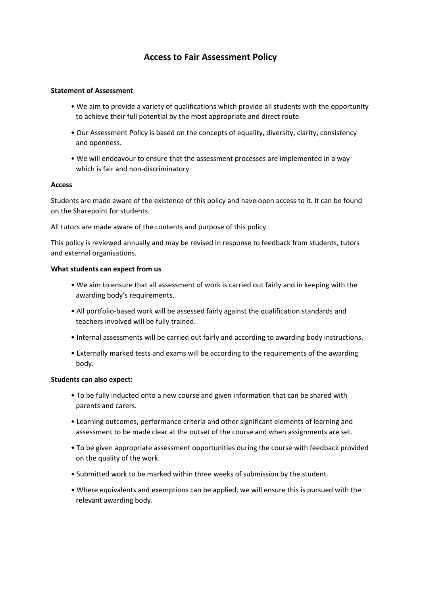### **Access to Fair Assessment Policy**

#### **Statement of Assessment**

- We aim to provide a variety of qualifications which provide all students with the opportunity to achieve their full potential by the most appropriate and direct route.
- Our Assessment Policy is based on the concepts of equality, diversity, clarity, consistency and openness.
- We will endeavour to ensure that the assessment processes are implemented in a way which is fair and non-discriminatory.

#### **Access**

Students are made aware of the existence of this policy and have open access to it. It can be found on the Sharepoint for students.

All tutors are made aware of the contents and purpose of this policy.

This policy is reviewed annually and may be revised in response to feedback from students, tutors and external organisations.

#### **What students can expect from us**

- We aim to ensure that all assessment of work is carried out fairly and in keeping with the awarding body's requirements.
- All portfolio‐based work will be assessed fairly against the qualification standards and teachers involved will be fully trained.
- Internal assessments will be carried out fairly and according to awarding body instructions.
- Externally marked tests and exams will be according to the requirements of the awarding body.

#### **Students can also expect:**

- To be fully inducted onto a new course and given information that can be shared with parents and carers.
- Learning outcomes, performance criteria and other significant elements of learning and assessment to be made clear at the outset of the course and when assignments are set.
- To be given appropriate assessment opportunities during the course with feedback provided on the quality of the work.
- Submitted work to be marked within three weeks of submission by the student.
- Where equivalents and exemptions can be applied, we will ensure this is pursued with the relevant awarding body.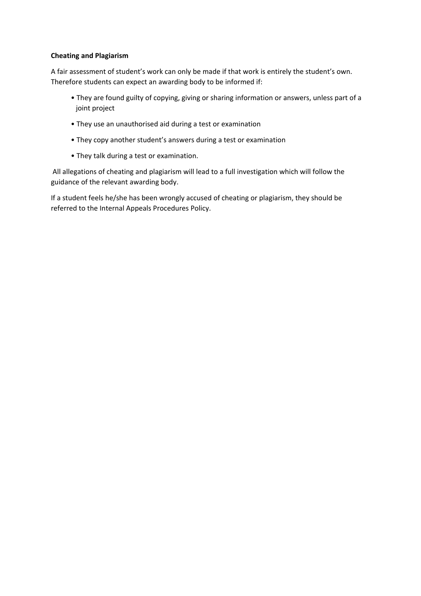#### **Cheating and Plagiarism**

A fair assessment of student's work can only be made if that work is entirely the student's own. Therefore students can expect an awarding body to be informed if:

- They are found guilty of copying, giving or sharing information or answers, unless part of a joint project
- They use an unauthorised aid during a test or examination
- They copy another student's answers during a test or examination
- They talk during a test or examination.

 All allegations of cheating and plagiarism will lead to a full investigation which will follow the guidance of the relevant awarding body.

If a student feels he/she has been wrongly accused of cheating or plagiarism, they should be referred to the Internal Appeals Procedures Policy.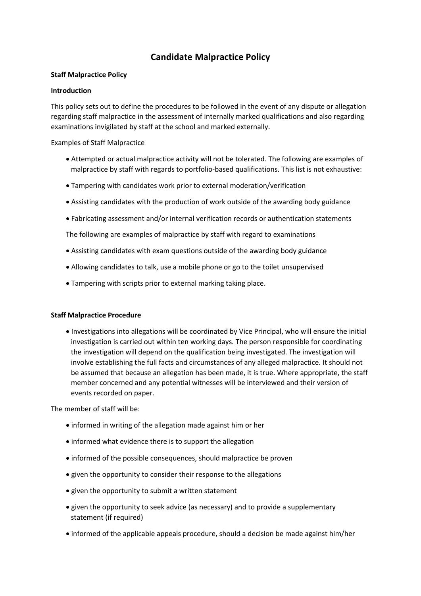## **Candidate Malpractice Policy**

#### **Staff Malpractice Policy**

#### **Introduction**

This policy sets out to define the procedures to be followed in the event of any dispute or allegation regarding staff malpractice in the assessment of internally marked qualifications and also regarding examinations invigilated by staff at the school and marked externally.

Examples of Staff Malpractice

- Attempted or actual malpractice activity will not be tolerated. The following are examples of malpractice by staff with regards to portfolio‐based qualifications. This list is not exhaustive:
- Tampering with candidates work prior to external moderation/verification
- Assisting candidates with the production of work outside of the awarding body guidance
- Fabricating assessment and/or internal verification records or authentication statements

The following are examples of malpractice by staff with regard to examinations

- Assisting candidates with exam questions outside of the awarding body guidance
- Allowing candidates to talk, use a mobile phone or go to the toilet unsupervised
- Tampering with scripts prior to external marking taking place.

#### **Staff Malpractice Procedure**

 Investigations into allegations will be coordinated by Vice Principal, who will ensure the initial investigation is carried out within ten working days. The person responsible for coordinating the investigation will depend on the qualification being investigated. The investigation will involve establishing the full facts and circumstances of any alleged malpractice. It should not be assumed that because an allegation has been made, it is true. Where appropriate, the staff member concerned and any potential witnesses will be interviewed and their version of events recorded on paper.

The member of staff will be:

- informed in writing of the allegation made against him or her
- informed what evidence there is to support the allegation
- informed of the possible consequences, should malpractice be proven
- given the opportunity to consider their response to the allegations
- given the opportunity to submit a written statement
- given the opportunity to seek advice (as necessary) and to provide a supplementary statement (if required)
- informed of the applicable appeals procedure, should a decision be made against him/her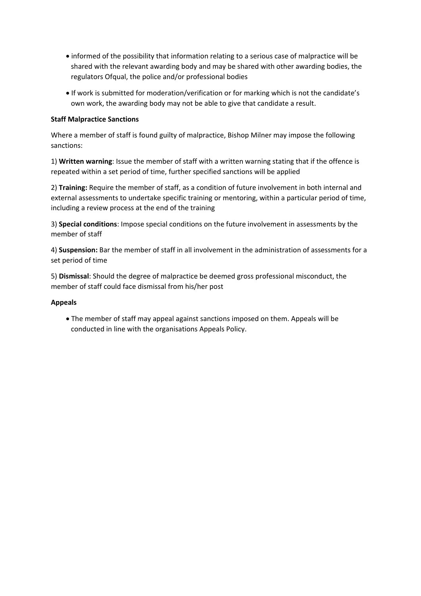- informed of the possibility that information relating to a serious case of malpractice will be shared with the relevant awarding body and may be shared with other awarding bodies, the regulators Ofqual, the police and/or professional bodies
- If work is submitted for moderation/verification or for marking which is not the candidate's own work, the awarding body may not be able to give that candidate a result.

#### **Staff Malpractice Sanctions**

Where a member of staff is found guilty of malpractice, Bishop Milner may impose the following sanctions:

1) **Written warning**: Issue the member of staff with a written warning stating that if the offence is repeated within a set period of time, further specified sanctions will be applied

2) **Training:** Require the member of staff, as a condition of future involvement in both internal and external assessments to undertake specific training or mentoring, within a particular period of time, including a review process at the end of the training

3) **Special conditions**: Impose special conditions on the future involvement in assessments by the member of staff

4) **Suspension:** Bar the member of staff in all involvement in the administration of assessments for a set period of time

5) **Dismissal**: Should the degree of malpractice be deemed gross professional misconduct, the member of staff could face dismissal from his/her post

#### **Appeals**

 The member of staff may appeal against sanctions imposed on them. Appeals will be conducted in line with the organisations Appeals Policy.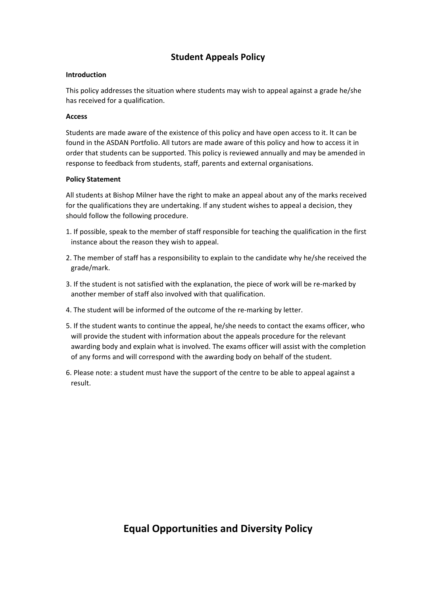## **Student Appeals Policy**

#### **Introduction**

This policy addresses the situation where students may wish to appeal against a grade he/she has received for a qualification.

#### **Access**

Students are made aware of the existence of this policy and have open access to it. It can be found in the ASDAN Portfolio. All tutors are made aware of this policy and how to access it in order that students can be supported. This policy is reviewed annually and may be amended in response to feedback from students, staff, parents and external organisations.

#### **Policy Statement**

All students at Bishop Milner have the right to make an appeal about any of the marks received for the qualifications they are undertaking. If any student wishes to appeal a decision, they should follow the following procedure.

- 1. If possible, speak to the member of staff responsible for teaching the qualification in the first instance about the reason they wish to appeal.
- 2. The member of staff has a responsibility to explain to the candidate why he/she received the grade/mark.
- 3. If the student is not satisfied with the explanation, the piece of work will be re-marked by another member of staff also involved with that qualification.
- 4. The student will be informed of the outcome of the re-marking by letter.
- 5. If the student wants to continue the appeal, he/she needs to contact the exams officer, who will provide the student with information about the appeals procedure for the relevant awarding body and explain what is involved. The exams officer will assist with the completion of any forms and will correspond with the awarding body on behalf of the student.
- 6. Please note: a student must have the support of the centre to be able to appeal against a result.

## **Equal Opportunities and Diversity Policy**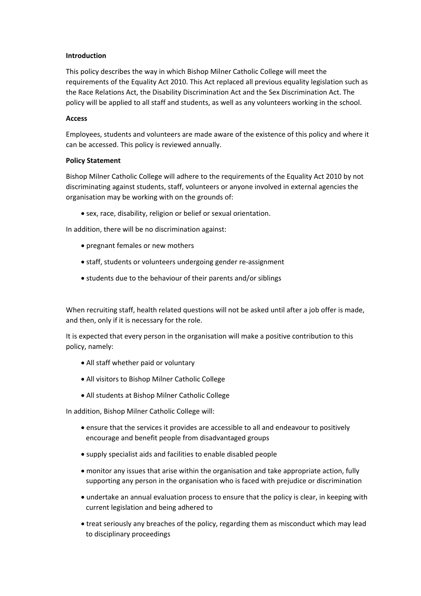#### **Introduction**

This policy describes the way in which Bishop Milner Catholic College will meet the requirements of the Equality Act 2010. This Act replaced all previous equality legislation such as the Race Relations Act, the Disability Discrimination Act and the Sex Discrimination Act. The policy will be applied to all staff and students, as well as any volunteers working in the school.

#### **Access**

Employees, students and volunteers are made aware of the existence of this policy and where it can be accessed. This policy is reviewed annually.

#### **Policy Statement**

Bishop Milner Catholic College will adhere to the requirements of the Equality Act 2010 by not discriminating against students, staff, volunteers or anyone involved in external agencies the organisation may be working with on the grounds of:

sex, race, disability, religion or belief or sexual orientation.

In addition, there will be no discrimination against:

- pregnant females or new mothers
- staff, students or volunteers undergoing gender re-assignment
- students due to the behaviour of their parents and/or siblings

When recruiting staff, health related questions will not be asked until after a job offer is made, and then, only if it is necessary for the role.

It is expected that every person in the organisation will make a positive contribution to this policy, namely:

- All staff whether paid or voluntary
- All visitors to Bishop Milner Catholic College
- All students at Bishop Milner Catholic College

In addition, Bishop Milner Catholic College will:

- ensure that the services it provides are accessible to all and endeavour to positively encourage and benefit people from disadvantaged groups
- supply specialist aids and facilities to enable disabled people
- monitor any issues that arise within the organisation and take appropriate action, fully supporting any person in the organisation who is faced with prejudice or discrimination
- undertake an annual evaluation process to ensure that the policy is clear, in keeping with current legislation and being adhered to
- treat seriously any breaches of the policy, regarding them as misconduct which may lead to disciplinary proceedings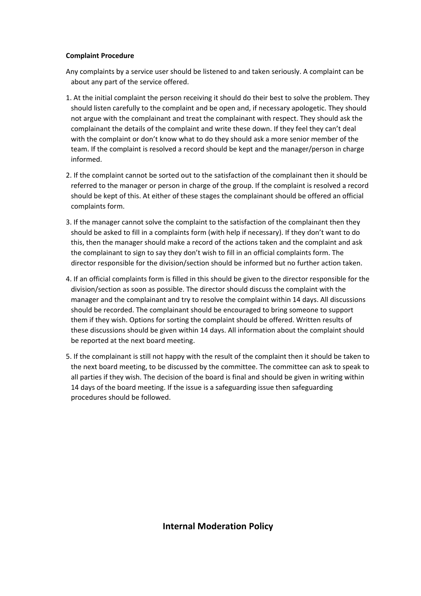#### **Complaint Procedure**

Any complaints by a service user should be listened to and taken seriously. A complaint can be about any part of the service offered.

- 1. At the initial complaint the person receiving it should do their best to solve the problem. They should listen carefully to the complaint and be open and, if necessary apologetic. They should not argue with the complainant and treat the complainant with respect. They should ask the complainant the details of the complaint and write these down. If they feel they can't deal with the complaint or don't know what to do they should ask a more senior member of the team. If the complaint is resolved a record should be kept and the manager/person in charge informed.
- 2. If the complaint cannot be sorted out to the satisfaction of the complainant then it should be referred to the manager or person in charge of the group. If the complaint is resolved a record should be kept of this. At either of these stages the complainant should be offered an official complaints form.
- 3. If the manager cannot solve the complaint to the satisfaction of the complainant then they should be asked to fill in a complaints form (with help if necessary). If they don't want to do this, then the manager should make a record of the actions taken and the complaint and ask the complainant to sign to say they don't wish to fill in an official complaints form. The director responsible for the division/section should be informed but no further action taken.
- 4. If an official complaints form is filled in this should be given to the director responsible for the division/section as soon as possible. The director should discuss the complaint with the manager and the complainant and try to resolve the complaint within 14 days. All discussions should be recorded. The complainant should be encouraged to bring someone to support them if they wish. Options for sorting the complaint should be offered. Written results of these discussions should be given within 14 days. All information about the complaint should be reported at the next board meeting.
- 5. If the complainant is still not happy with the result of the complaint then it should be taken to the next board meeting, to be discussed by the committee. The committee can ask to speak to all parties if they wish. The decision of the board is final and should be given in writing within 14 days of the board meeting. If the issue is a safeguarding issue then safeguarding procedures should be followed.